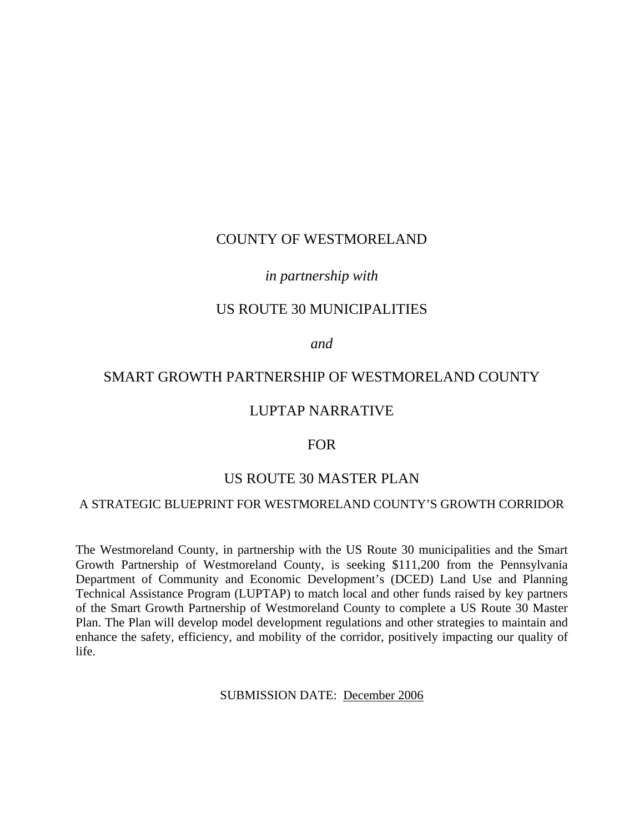# COUNTY OF WESTMORELAND

## *in partnership with*

## US ROUTE 30 MUNICIPALITIES

*and* 

# SMART GROWTH PARTNERSHIP OF WESTMORELAND COUNTY

## LUPTAP NARRATIVE

#### FOR

## US ROUTE 30 MASTER PLAN

#### A STRATEGIC BLUEPRINT FOR WESTMORELAND COUNTY'S GROWTH CORRIDOR

The Westmoreland County, in partnership with the US Route 30 municipalities and the Smart Growth Partnership of Westmoreland County, is seeking \$111,200 from the Pennsylvania Department of Community and Economic Development's (DCED) Land Use and Planning Technical Assistance Program (LUPTAP) to match local and other funds raised by key partners of the Smart Growth Partnership of Westmoreland County to complete a US Route 30 Master Plan. The Plan will develop model development regulations and other strategies to maintain and enhance the safety, efficiency, and mobility of the corridor, positively impacting our quality of life.

SUBMISSION DATE: December 2006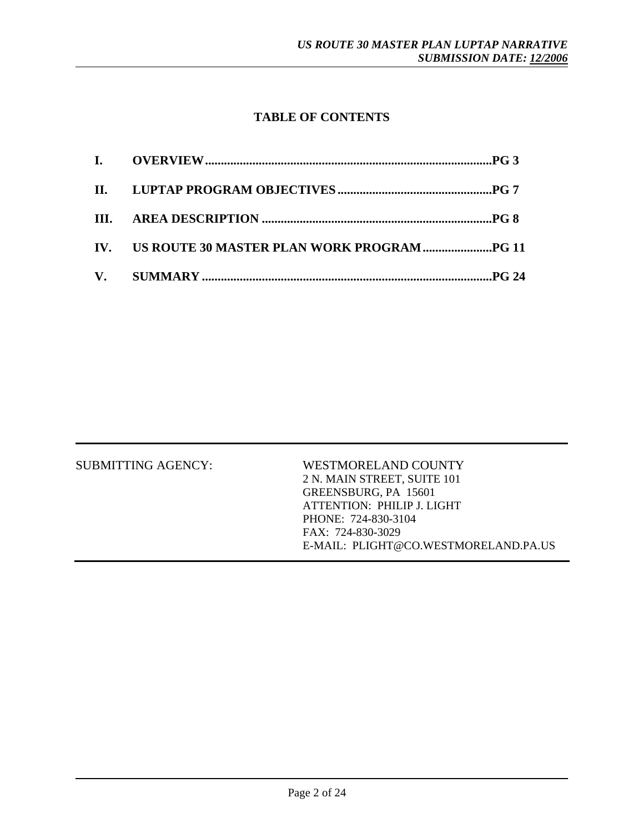# **TABLE OF CONTENTS**

| <b>SUBMITTING AGENCY:</b> | WESTMORELAND COUNTY                  |
|---------------------------|--------------------------------------|
|                           | 2 N. MAIN STREET, SUITE 101          |
|                           | GREENSBURG, PA 15601                 |
|                           | ATTENTION: PHILIP J. LIGHT           |
|                           | PHONE: 724-830-3104                  |
|                           | FAX: 724-830-3029                    |
|                           | E-MAIL: PLIGHT@CO WESTMORELAND PAILS |
|                           |                                      |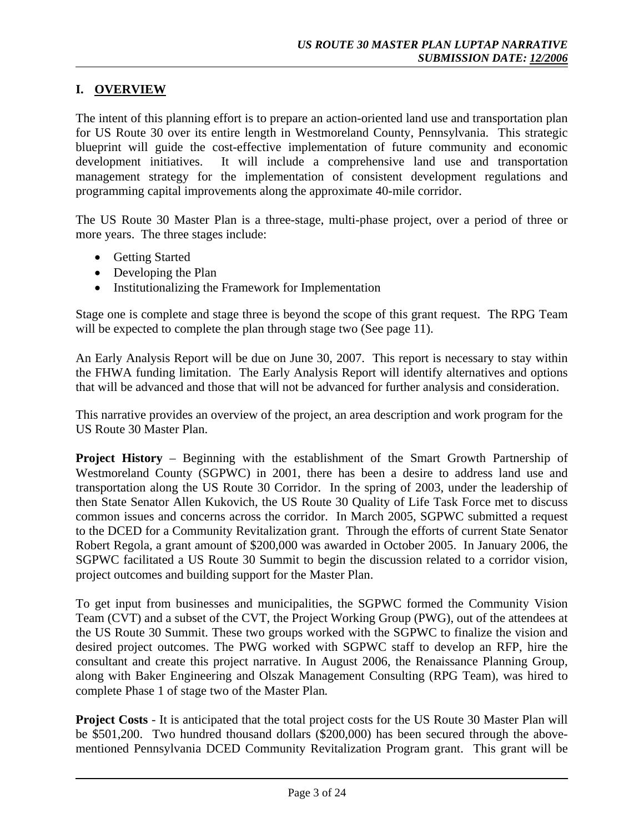# **I. OVERVIEW**

The intent of this planning effort is to prepare an action-oriented land use and transportation plan for US Route 30 over its entire length in Westmoreland County, Pennsylvania. This strategic blueprint will guide the cost-effective implementation of future community and economic development initiatives. It will include a comprehensive land use and transportation management strategy for the implementation of consistent development regulations and programming capital improvements along the approximate 40-mile corridor.

The US Route 30 Master Plan is a three-stage, multi-phase project, over a period of three or more years. The three stages include:

- Getting Started
- Developing the Plan
- Institutionalizing the Framework for Implementation

Stage one is complete and stage three is beyond the scope of this grant request. The RPG Team will be expected to complete the plan through stage two (See page 11).

An Early Analysis Report will be due on June 30, 2007. This report is necessary to stay within the FHWA funding limitation. The Early Analysis Report will identify alternatives and options that will be advanced and those that will not be advanced for further analysis and consideration.

This narrative provides an overview of the project, an area description and work program for the US Route 30 Master Plan.

**Project History** – Beginning with the establishment of the Smart Growth Partnership of Westmoreland County (SGPWC) in 2001, there has been a desire to address land use and transportation along the US Route 30 Corridor. In the spring of 2003, under the leadership of then State Senator Allen Kukovich, the US Route 30 Quality of Life Task Force met to discuss common issues and concerns across the corridor. In March 2005, SGPWC submitted a request to the DCED for a Community Revitalization grant. Through the efforts of current State Senator Robert Regola, a grant amount of \$200,000 was awarded in October 2005. In January 2006, the SGPWC facilitated a US Route 30 Summit to begin the discussion related to a corridor vision, project outcomes and building support for the Master Plan.

To get input from businesses and municipalities, the SGPWC formed the Community Vision Team (CVT) and a subset of the CVT, the Project Working Group (PWG), out of the attendees at the US Route 30 Summit. These two groups worked with the SGPWC to finalize the vision and desired project outcomes. The PWG worked with SGPWC staff to develop an RFP, hire the consultant and create this project narrative. In August 2006, the Renaissance Planning Group, along with Baker Engineering and Olszak Management Consulting (RPG Team), was hired to complete Phase 1 of stage two of the Master Plan*.* 

**Project Costs** - It is anticipated that the total project costs for the US Route 30 Master Plan will be \$501,200. Two hundred thousand dollars (\$200,000) has been secured through the abovementioned Pennsylvania DCED Community Revitalization Program grant. This grant will be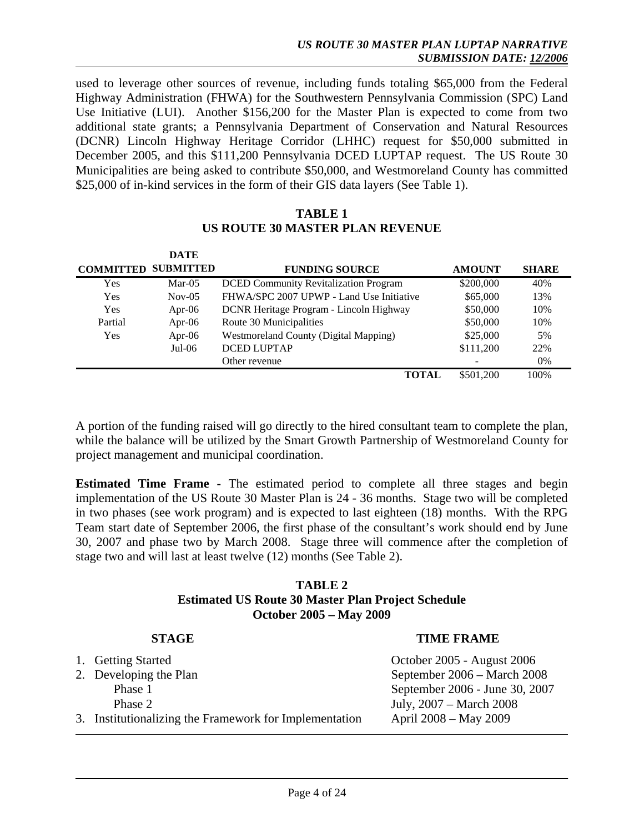used to leverage other sources of revenue, including funds totaling \$65,000 from the Federal Highway Administration (FHWA) for the Southwestern Pennsylvania Commission (SPC) Land Use Initiative (LUI). Another \$156,200 for the Master Plan is expected to come from two additional state grants; a Pennsylvania Department of Conservation and Natural Resources (DCNR) Lincoln Highway Heritage Corridor (LHHC) request for \$50,000 submitted in December 2005, and this \$111,200 Pennsylvania DCED LUPTAP request. The US Route 30 Municipalities are being asked to contribute \$50,000, and Westmoreland County has committed \$25,000 of in-kind services in the form of their GIS data layers (See Table 1).

## **TABLE 1 US ROUTE 30 MASTER PLAN REVENUE**

|                  | <b>DATE</b>      |                                              |                          |              |
|------------------|------------------|----------------------------------------------|--------------------------|--------------|
| <b>COMMITTED</b> | <b>SUBMITTED</b> | <b>FUNDING SOURCE</b>                        | <b>AMOUNT</b>            | <b>SHARE</b> |
| Yes              | $Mar-05$         | <b>DCED Community Revitalization Program</b> | \$200,000                | 40%          |
| Yes              | $Nov-05$         | FHWA/SPC 2007 UPWP - Land Use Initiative     | \$65,000                 | 13%          |
| Yes              | Apr-06           | DCNR Heritage Program - Lincoln Highway      | \$50,000                 | 10%          |
| Partial          | Apr- $06$        | Route 30 Municipalities                      | \$50,000                 | 10%          |
| Yes              | Apr- $06$        | <b>Westmoreland County (Digital Mapping)</b> | \$25,000                 | 5%           |
|                  | $Jul-06$         | <b>DCED LUPTAP</b>                           | \$111,200                | 22%          |
|                  |                  | Other revenue                                | $\overline{\phantom{a}}$ | $0\%$        |
|                  |                  | TOTAL                                        | \$501,200                | 100%         |

A portion of the funding raised will go directly to the hired consultant team to complete the plan, while the balance will be utilized by the Smart Growth Partnership of Westmoreland County for project management and municipal coordination.

**Estimated Time Frame -** The estimated period to complete all three stages and begin implementation of the US Route 30 Master Plan is 24 - 36 months. Stage two will be completed in two phases (see work program) and is expected to last eighteen (18) months. With the RPG Team start date of September 2006, the first phase of the consultant's work should end by June 30, 2007 and phase two by March 2008. Stage three will commence after the completion of stage two and will last at least twelve (12) months (See Table 2).

#### **TABLE 2 Estimated US Route 30 Master Plan Project Schedule October 2005 – May 2009**

| <b>STAGE</b>                                           | <b>TIME FRAME</b>              |
|--------------------------------------------------------|--------------------------------|
| 1. Getting Started                                     | October 2005 - August 2006     |
| 2. Developing the Plan                                 | September 2006 – March 2008    |
| Phase 1                                                | September 2006 - June 30, 2007 |
| Phase 2                                                | July, 2007 – March 2008        |
| 3. Institutionalizing the Framework for Implementation | April 2008 – May 2009          |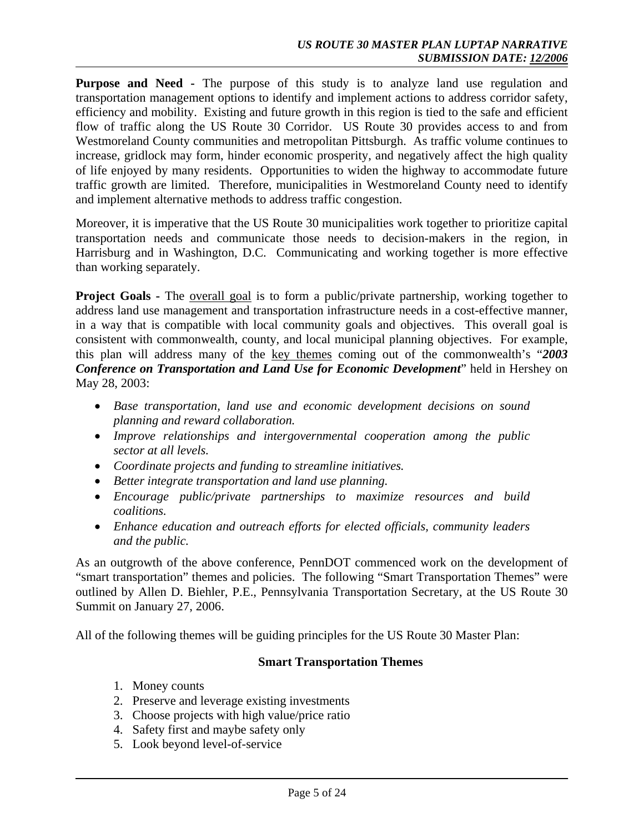**Purpose and Need -** The purpose of this study is to analyze land use regulation and transportation management options to identify and implement actions to address corridor safety, efficiency and mobility. Existing and future growth in this region is tied to the safe and efficient flow of traffic along the US Route 30 Corridor. US Route 30 provides access to and from Westmoreland County communities and metropolitan Pittsburgh. As traffic volume continues to increase, gridlock may form, hinder economic prosperity, and negatively affect the high quality of life enjoyed by many residents. Opportunities to widen the highway to accommodate future traffic growth are limited. Therefore, municipalities in Westmoreland County need to identify and implement alternative methods to address traffic congestion.

Moreover, it is imperative that the US Route 30 municipalities work together to prioritize capital transportation needs and communicate those needs to decision-makers in the region, in Harrisburg and in Washington, D.C. Communicating and working together is more effective than working separately.

**Project Goals -** The overall goal is to form a public/private partnership, working together to address land use management and transportation infrastructure needs in a cost-effective manner, in a way that is compatible with local community goals and objectives. This overall goal is consistent with commonwealth, county, and local municipal planning objectives. For example, this plan will address many of the key themes coming out of the commonwealth's "*2003 Conference on Transportation and Land Use for Economic Development*" held in Hershey on May 28, 2003:

- *Base transportation, land use and economic development decisions on sound planning and reward collaboration.*
- *Improve relationships and intergovernmental cooperation among the public sector at all levels.*
- *Coordinate projects and funding to streamline initiatives.*
- *Better integrate transportation and land use planning.*
- *Encourage public/private partnerships to maximize resources and build coalitions.*
- *Enhance education and outreach efforts for elected officials, community leaders and the public.*

As an outgrowth of the above conference, PennDOT commenced work on the development of "smart transportation" themes and policies. The following "Smart Transportation Themes" were outlined by Allen D. Biehler, P.E., Pennsylvania Transportation Secretary, at the US Route 30 Summit on January 27, 2006.

All of the following themes will be guiding principles for the US Route 30 Master Plan:

## **Smart Transportation Themes**

- 1. Money counts
- 2. Preserve and leverage existing investments
- 3. Choose projects with high value/price ratio
- 4. Safety first and maybe safety only
- 5. Look beyond level-of-service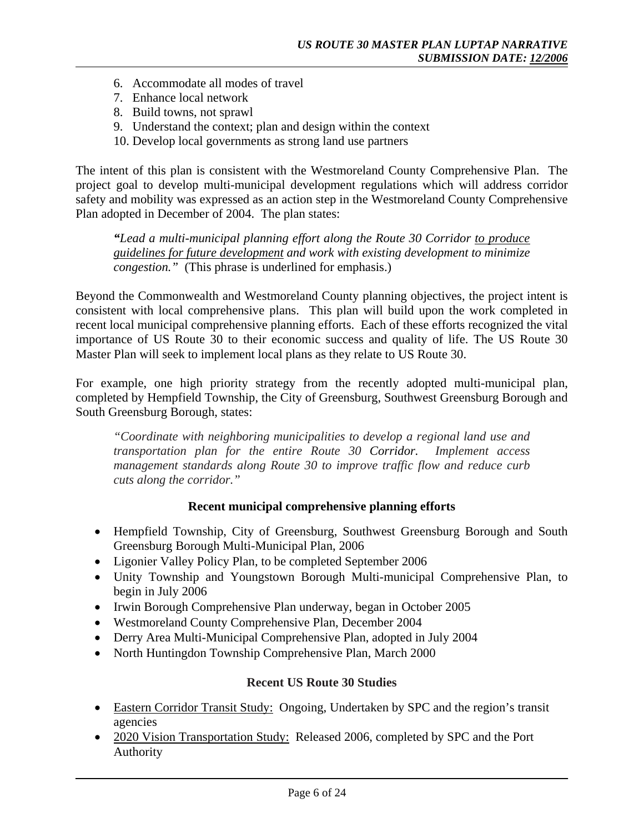- 6. Accommodate all modes of travel
- 7. Enhance local network
- 8. Build towns, not sprawl
- 9. Understand the context; plan and design within the context
- 10. Develop local governments as strong land use partners

The intent of this plan is consistent with the Westmoreland County Comprehensive Plan. The project goal to develop multi-municipal development regulations which will address corridor safety and mobility was expressed as an action step in the Westmoreland County Comprehensive Plan adopted in December of 2004. The plan states:

*"Lead a multi-municipal planning effort along the Route 30 Corridor to produce guidelines for future development and work with existing development to minimize congestion."* (This phrase is underlined for emphasis.)

Beyond the Commonwealth and Westmoreland County planning objectives, the project intent is consistent with local comprehensive plans. This plan will build upon the work completed in recent local municipal comprehensive planning efforts. Each of these efforts recognized the vital importance of US Route 30 to their economic success and quality of life. The US Route 30 Master Plan will seek to implement local plans as they relate to US Route 30.

For example, one high priority strategy from the recently adopted multi-municipal plan, completed by Hempfield Township, the City of Greensburg, Southwest Greensburg Borough and South Greensburg Borough, states:

*"Coordinate with neighboring municipalities to develop a regional land use and transportation plan for the entire Route 30 Corridor. Implement access management standards along Route 30 to improve traffic flow and reduce curb cuts along the corridor."* 

## **Recent municipal comprehensive planning efforts**

- Hempfield Township, City of Greensburg, Southwest Greensburg Borough and South Greensburg Borough Multi-Municipal Plan, 2006
- Ligonier Valley Policy Plan, to be completed September 2006
- Unity Township and Youngstown Borough Multi-municipal Comprehensive Plan, to begin in July 2006
- Irwin Borough Comprehensive Plan underway, began in October 2005
- Westmoreland County Comprehensive Plan, December 2004
- Derry Area Multi-Municipal Comprehensive Plan, adopted in July 2004
- North Huntingdon Township Comprehensive Plan, March 2000

## **Recent US Route 30 Studies**

- Eastern Corridor Transit Study: Ongoing, Undertaken by SPC and the region's transit agencies
- 2020 Vision Transportation Study: Released 2006, completed by SPC and the Port Authority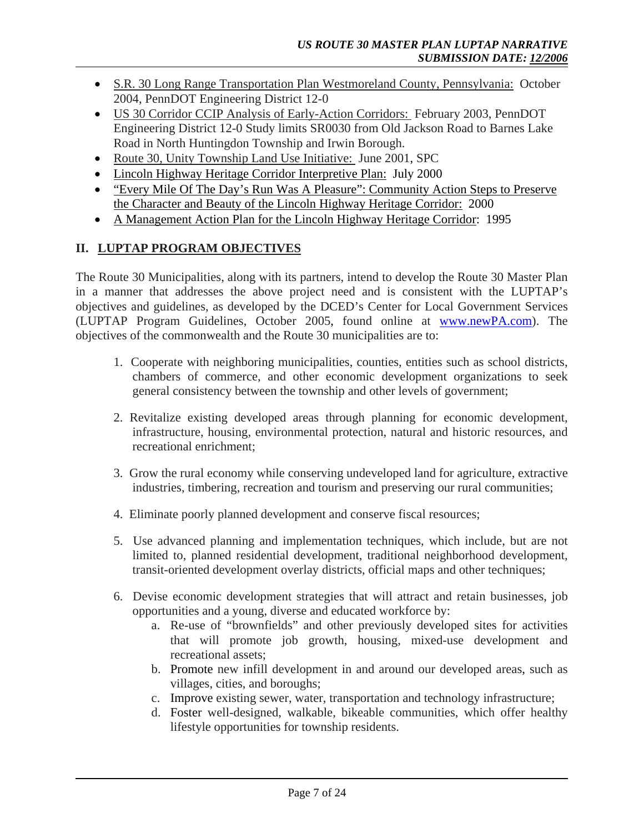- S.R. 30 Long Range Transportation Plan Westmoreland County, Pennsylvania:October 2004, PennDOT Engineering District 12-0
- US 30 Corridor CCIP Analysis of Early-Action Corridors: February 2003, PennDOT Engineering District 12-0 Study limits SR0030 from Old Jackson Road to Barnes Lake Road in North Huntingdon Township and Irwin Borough.
- Route 30, Unity Township Land Use Initiative: June 2001, SPC
- Lincoln Highway Heritage Corridor Interpretive Plan: July 2000
- "Every Mile Of The Day's Run Was A Pleasure": Community Action Steps to Preserve the Character and Beauty of the Lincoln Highway Heritage Corridor: 2000
- A Management Action Plan for the Lincoln Highway Heritage Corridor: 1995

# **II. LUPTAP PROGRAM OBJECTIVES**

The Route 30 Municipalities, along with its partners, intend to develop the Route 30 Master Plan in a manner that addresses the above project need and is consistent with the LUPTAP's objectives and guidelines, as developed by the DCED's Center for Local Government Services (LUPTAP Program Guidelines, October 2005, found online at www.newPA.com). The objectives of the commonwealth and the Route 30 municipalities are to:

- 1. Cooperate with neighboring municipalities, counties, entities such as school districts, chambers of commerce, and other economic development organizations to seek general consistency between the township and other levels of government;
- 2. Revitalize existing developed areas through planning for economic development, infrastructure, housing, environmental protection, natural and historic resources, and recreational enrichment;
- 3. Grow the rural economy while conserving undeveloped land for agriculture, extractive industries, timbering, recreation and tourism and preserving our rural communities;
- 4. Eliminate poorly planned development and conserve fiscal resources;
- 5. Use advanced planning and implementation techniques, which include, but are not limited to, planned residential development, traditional neighborhood development, transit-oriented development overlay districts, official maps and other techniques;
- 6. Devise economic development strategies that will attract and retain businesses, job opportunities and a young, diverse and educated workforce by:
	- a. Re-use of "brownfields" and other previously developed sites for activities that will promote job growth, housing, mixed-use development and recreational assets;
	- b. Promote new infill development in and around our developed areas, such as villages, cities, and boroughs;
	- c. Improve existing sewer, water, transportation and technology infrastructure;
	- d. Foster well-designed, walkable, bikeable communities, which offer healthy lifestyle opportunities for township residents.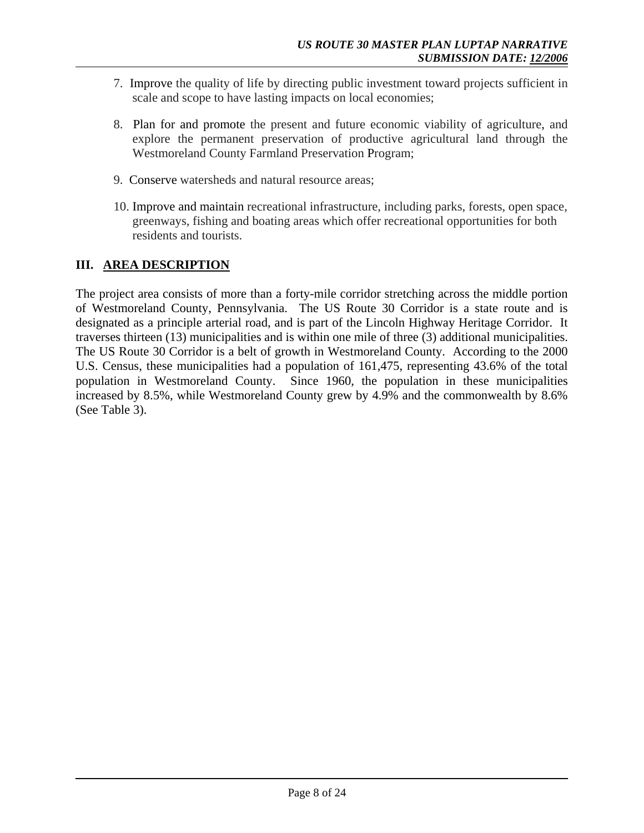- 7. Improve the quality of life by directing public investment toward projects sufficient in scale and scope to have lasting impacts on local economies;
- 8. Plan for and promote the present and future economic viability of agriculture, and explore the permanent preservation of productive agricultural land through the Westmoreland County Farmland Preservation Program;
- 9. Conserve watersheds and natural resource areas;
- 10. Improve and maintain recreational infrastructure, including parks, forests, open space, greenways, fishing and boating areas which offer recreational opportunities for both residents and tourists.

# **III. AREA DESCRIPTION**

The project area consists of more than a forty-mile corridor stretching across the middle portion of Westmoreland County, Pennsylvania. The US Route 30 Corridor is a state route and is designated as a principle arterial road, and is part of the Lincoln Highway Heritage Corridor. It traverses thirteen (13) municipalities and is within one mile of three (3) additional municipalities. The US Route 30 Corridor is a belt of growth in Westmoreland County. According to the 2000 U.S. Census, these municipalities had a population of 161,475, representing 43.6% of the total population in Westmoreland County. Since 1960, the population in these municipalities increased by 8.5%, while Westmoreland County grew by 4.9% and the commonwealth by 8.6% (See Table 3).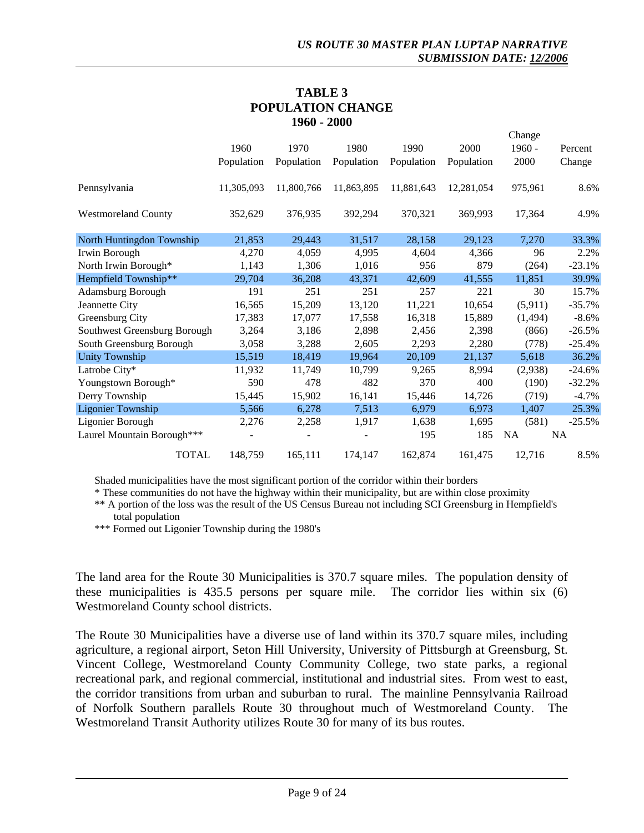## **TABLE 3 POPULATION CHANGE 1960 - 2000**

|                              |            |            |            |            |            | Change    |           |
|------------------------------|------------|------------|------------|------------|------------|-----------|-----------|
|                              | 1960       | 1970       | 1980       | 1990       | 2000       | $1960 -$  | Percent   |
|                              | Population | Population | Population | Population | Population | 2000      | Change    |
| Pennsylvania                 | 11,305,093 | 11,800,766 | 11,863,895 | 11,881,643 | 12,281,054 | 975,961   | 8.6%      |
| <b>Westmoreland County</b>   | 352,629    | 376,935    | 392,294    | 370,321    | 369,993    | 17,364    | 4.9%      |
| North Huntingdon Township    | 21,853     | 29,443     | 31,517     | 28,158     | 29,123     | 7,270     | 33.3%     |
| Irwin Borough                | 4,270      | 4,059      | 4,995      | 4,604      | 4,366      | 96        | 2.2%      |
| North Irwin Borough*         | 1,143      | 1,306      | 1,016      | 956        | 879        | (264)     | $-23.1%$  |
| Hempfield Township**         | 29,704     | 36,208     | 43,371     | 42,609     | 41,555     | 11,851    | 39.9%     |
| Adamsburg Borough            | 191        | 251        | 251        | 257        | 221        | 30        | 15.7%     |
| Jeannette City               | 16,565     | 15,209     | 13,120     | 11,221     | 10,654     | (5,911)   | $-35.7%$  |
| Greensburg City              | 17,383     | 17,077     | 17,558     | 16,318     | 15,889     | (1, 494)  | $-8.6%$   |
| Southwest Greensburg Borough | 3,264      | 3,186      | 2,898      | 2,456      | 2,398      | (866)     | $-26.5%$  |
| South Greensburg Borough     | 3,058      | 3,288      | 2,605      | 2,293      | 2,280      | (778)     | $-25.4%$  |
| <b>Unity Township</b>        | 15,519     | 18,419     | 19,964     | 20,109     | 21,137     | 5,618     | 36.2%     |
| Latrobe City*                | 11,932     | 11,749     | 10,799     | 9,265      | 8,994      | (2,938)   | $-24.6%$  |
| Youngstown Borough*          | 590        | 478        | 482        | 370        | 400        | (190)     | $-32.2%$  |
| Derry Township               | 15,445     | 15,902     | 16,141     | 15,446     | 14,726     | (719)     | $-4.7%$   |
| <b>Ligonier Township</b>     | 5,566      | 6,278      | 7,513      | 6,979      | 6,973      | 1,407     | 25.3%     |
| Ligonier Borough             | 2,276      | 2,258      | 1,917      | 1,638      | 1,695      | (581)     | $-25.5%$  |
| Laurel Mountain Borough***   |            |            |            | 195        | 185        | <b>NA</b> | <b>NA</b> |
| <b>TOTAL</b>                 | 148,759    | 165,111    | 174,147    | 162,874    | 161,475    | 12,716    | 8.5%      |

Shaded municipalities have the most significant portion of the corridor within their borders

\* These communities do not have the highway within their municipality, but are within close proximity

\*\* A portion of the loss was the result of the US Census Bureau not including SCI Greensburg in Hempfield's total population

\*\*\* Formed out Ligonier Township during the 1980's

The land area for the Route 30 Municipalities is 370.7 square miles. The population density of these municipalities is 435.5 persons per square mile. The corridor lies within six (6) Westmoreland County school districts.

The Route 30 Municipalities have a diverse use of land within its 370.7 square miles, including agriculture, a regional airport, Seton Hill University, University of Pittsburgh at Greensburg, St. Vincent College, Westmoreland County Community College, two state parks, a regional recreational park, and regional commercial, institutional and industrial sites. From west to east, the corridor transitions from urban and suburban to rural. The mainline Pennsylvania Railroad of Norfolk Southern parallels Route 30 throughout much of Westmoreland County. The Westmoreland Transit Authority utilizes Route 30 for many of its bus routes.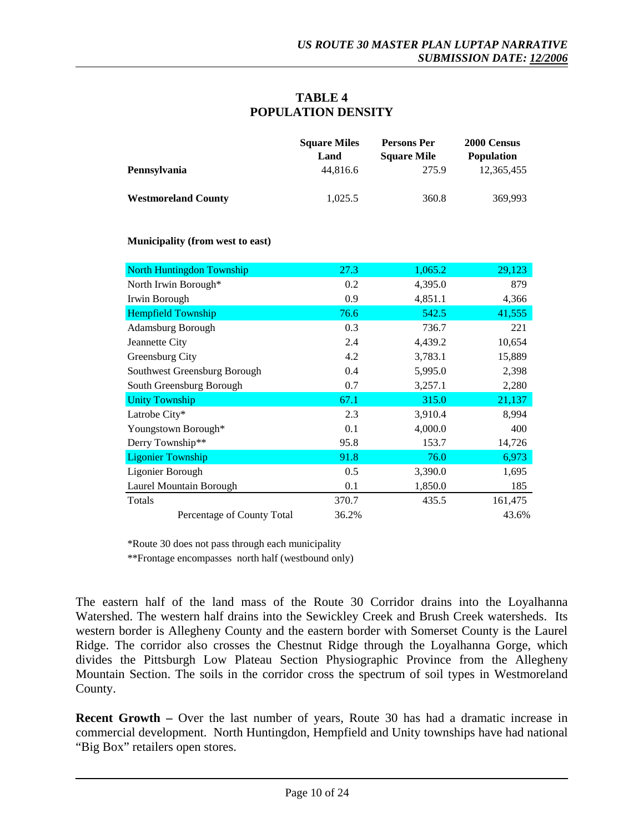## **TABLE 4 POPULATION DENSITY**

|                            | <b>Square Miles</b><br>Land | Persons Per<br><b>Square Mile</b> | 2000 Census<br><b>Population</b> |
|----------------------------|-----------------------------|-----------------------------------|----------------------------------|
| Pennsylvania               | 44.816.6                    | 275.9                             | 12.365.455                       |
| <b>Westmoreland County</b> | 1.025.5                     | 360.8                             | 369.993                          |

**Municipality (from west to east)**

| <b>North Huntingdon Township</b> | 27.3  | 1,065.2 | 29,123  |
|----------------------------------|-------|---------|---------|
| North Irwin Borough*             | 0.2   | 4,395.0 | 879     |
| Irwin Borough                    | 0.9   | 4,851.1 | 4,366   |
| <b>Hempfield Township</b>        | 76.6  | 542.5   | 41,555  |
| Adamsburg Borough                | 0.3   | 736.7   | 221     |
| Jeannette City                   | 2.4   | 4,439.2 | 10,654  |
| Greensburg City                  | 4.2   | 3,783.1 | 15,889  |
| Southwest Greensburg Borough     | 0.4   | 5,995.0 | 2,398   |
| South Greensburg Borough         | 0.7   | 3,257.1 | 2,280   |
| <b>Unity Township</b>            | 67.1  | 315.0   | 21,137  |
| Latrobe City*                    | 2.3   | 3,910.4 | 8,994   |
| Youngstown Borough*              | 0.1   | 4,000.0 | 400     |
| Derry Township**                 | 95.8  | 153.7   | 14,726  |
| <b>Ligonier Township</b>         | 91.8  | 76.0    | 6,973   |
| Ligonier Borough                 | 0.5   | 3,390.0 | 1,695   |
| Laurel Mountain Borough          | 0.1   | 1,850.0 | 185     |
| Totals                           | 370.7 | 435.5   | 161,475 |
| Percentage of County Total       | 36.2% |         | 43.6%   |

\*Route 30 does not pass through each municipality

\*\*Frontage encompasses north half (westbound only)

The eastern half of the land mass of the Route 30 Corridor drains into the Loyalhanna Watershed. The western half drains into the Sewickley Creek and Brush Creek watersheds. Its western border is Allegheny County and the eastern border with Somerset County is the Laurel Ridge. The corridor also crosses the Chestnut Ridge through the Loyalhanna Gorge, which divides the Pittsburgh Low Plateau Section Physiographic Province from the Allegheny Mountain Section. The soils in the corridor cross the spectrum of soil types in Westmoreland County.

**Recent Growth – Over the last number of years, Route 30 has had a dramatic increase in** commercial development. North Huntingdon, Hempfield and Unity townships have had national "Big Box" retailers open stores.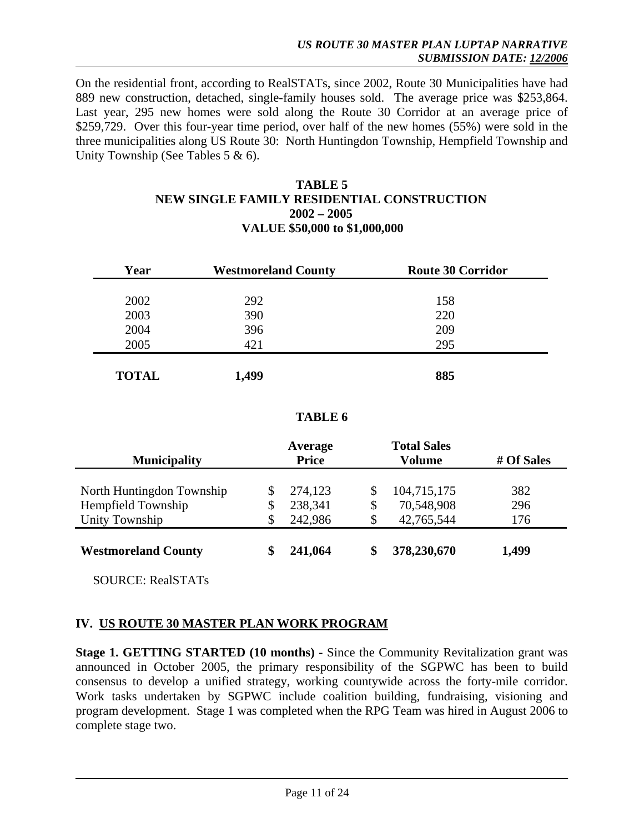On the residential front, according to RealSTATs, since 2002, Route 30 Municipalities have had 889 new construction, detached, single-family houses sold. The average price was \$253,864. Last year, 295 new homes were sold along the Route 30 Corridor at an average price of \$259,729. Over this four-year time period, over half of the new homes (55%) were sold in the three municipalities along US Route 30: North Huntingdon Township, Hempfield Township and Unity Township (See Tables 5 & 6).

## **TABLE 5 NEW SINGLE FAMILY RESIDENTIAL CONSTRUCTION 2002 – 2005 VALUE \$50,000 to \$1,000,000**

| Year         | <b>Westmoreland County</b> | <b>Route 30 Corridor</b> |
|--------------|----------------------------|--------------------------|
|              |                            |                          |
| 2002         | 292                        | 158                      |
| 2003         | 390                        | 220                      |
| 2004         | 396                        | 209                      |
| 2005         | 421                        | 295                      |
|              |                            |                          |
| <b>TOTAL</b> | 1,499                      | 885                      |

## **TABLE 6**

| Average<br><b>Price</b><br><b>Municipality</b> |  | <b>Total Sales</b><br>Volume | # Of Sales |             |       |
|------------------------------------------------|--|------------------------------|------------|-------------|-------|
| North Huntingdon Township                      |  | 274,123                      | \$         | 104,715,175 | 382   |
| Hempfield Township                             |  | 238,341                      | \$         | 70,548,908  | 296   |
| Unity Township                                 |  | 242,986                      |            | 42,765,544  | 176   |
| <b>Westmoreland County</b>                     |  | 241,064                      |            | 378,230,670 | 1,499 |

SOURCE: RealSTATs

## **IV. US ROUTE 30 MASTER PLAN WORK PROGRAM**

**Stage 1. GETTING STARTED (10 months) - Since the Community Revitalization grant was** announced in October 2005, the primary responsibility of the SGPWC has been to build consensus to develop a unified strategy, working countywide across the forty-mile corridor. Work tasks undertaken by SGPWC include coalition building, fundraising, visioning and program development. Stage 1 was completed when the RPG Team was hired in August 2006 to complete stage two.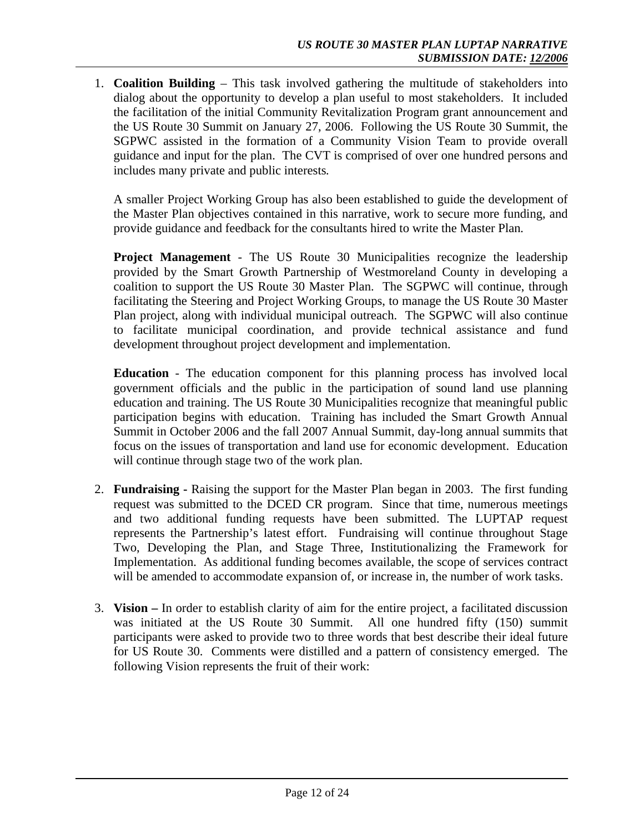1. **Coalition Building** – This task involved gathering the multitude of stakeholders into dialog about the opportunity to develop a plan useful to most stakeholders. It included the facilitation of the initial Community Revitalization Program grant announcement and the US Route 30 Summit on January 27, 2006. Following the US Route 30 Summit, the SGPWC assisted in the formation of a Community Vision Team to provide overall guidance and input for the plan. The CVT is comprised of over one hundred persons and includes many private and public interests*.* 

A smaller Project Working Group has also been established to guide the development of the Master Plan objectives contained in this narrative, work to secure more funding, and provide guidance and feedback for the consultants hired to write the Master Plan*.* 

**Project Management** - The US Route 30 Municipalities recognize the leadership provided by the Smart Growth Partnership of Westmoreland County in developing a coalition to support the US Route 30 Master Plan. The SGPWC will continue, through facilitating the Steering and Project Working Groups, to manage the US Route 30 Master Plan project, along with individual municipal outreach. The SGPWC will also continue to facilitate municipal coordination, and provide technical assistance and fund development throughout project development and implementation.

**Education** - The education component for this planning process has involved local government officials and the public in the participation of sound land use planning education and training. The US Route 30 Municipalities recognize that meaningful public participation begins with education. Training has included the Smart Growth Annual Summit in October 2006 and the fall 2007 Annual Summit, day-long annual summits that focus on the issues of transportation and land use for economic development. Education will continue through stage two of the work plan.

- 2. **Fundraising** Raising the support for the Master Plan began in 2003. The first funding request was submitted to the DCED CR program. Since that time, numerous meetings and two additional funding requests have been submitted. The LUPTAP request represents the Partnership's latest effort. Fundraising will continue throughout Stage Two, Developing the Plan, and Stage Three, Institutionalizing the Framework for Implementation. As additional funding becomes available, the scope of services contract will be amended to accommodate expansion of, or increase in, the number of work tasks.
- 3. **Vision –** In order to establish clarity of aim for the entire project, a facilitated discussion was initiated at the US Route 30 Summit. All one hundred fifty (150) summit participants were asked to provide two to three words that best describe their ideal future for US Route 30. Comments were distilled and a pattern of consistency emerged. The following Vision represents the fruit of their work: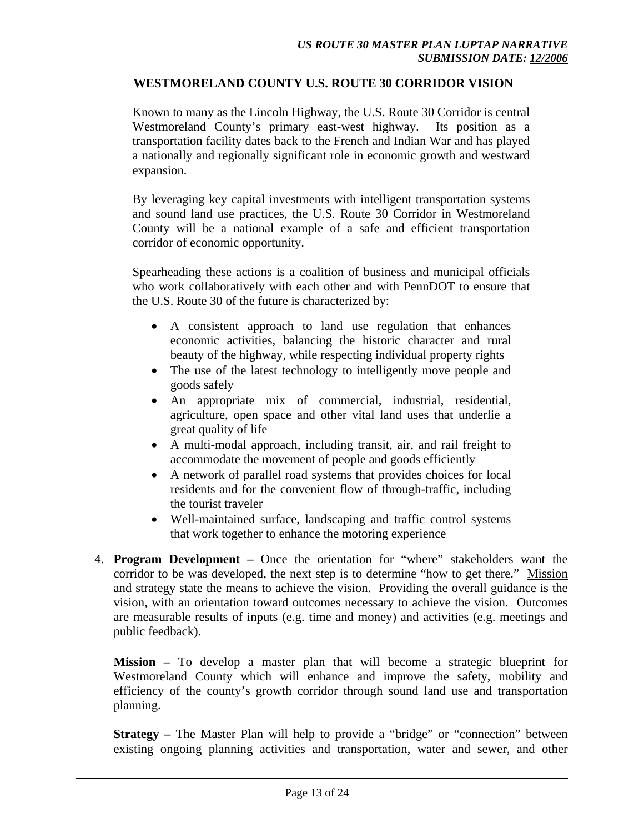## **WESTMORELAND COUNTY U.S. ROUTE 30 CORRIDOR VISION**

Known to many as the Lincoln Highway, the U.S. Route 30 Corridor is central Westmoreland County's primary east-west highway. Its position as a transportation facility dates back to the French and Indian War and has played a nationally and regionally significant role in economic growth and westward expansion.

By leveraging key capital investments with intelligent transportation systems and sound land use practices, the U.S. Route 30 Corridor in Westmoreland County will be a national example of a safe and efficient transportation corridor of economic opportunity.

Spearheading these actions is a coalition of business and municipal officials who work collaboratively with each other and with PennDOT to ensure that the U.S. Route 30 of the future is characterized by:

- A consistent approach to land use regulation that enhances economic activities, balancing the historic character and rural beauty of the highway, while respecting individual property rights
- The use of the latest technology to intelligently move people and goods safely
- An appropriate mix of commercial, industrial, residential, agriculture, open space and other vital land uses that underlie a great quality of life
- A multi-modal approach, including transit, air, and rail freight to accommodate the movement of people and goods efficiently
- A network of parallel road systems that provides choices for local residents and for the convenient flow of through-traffic, including the tourist traveler
- Well-maintained surface, landscaping and traffic control systems that work together to enhance the motoring experience
- 4. **Program Development –** Once the orientation for "where" stakeholders want the corridor to be was developed, the next step is to determine "how to get there." Mission and strategy state the means to achieve the vision. Providing the overall guidance is the vision, with an orientation toward outcomes necessary to achieve the vision. Outcomes are measurable results of inputs (e.g. time and money) and activities (e.g. meetings and public feedback).

**Mission –** To develop a master plan that will become a strategic blueprint for Westmoreland County which will enhance and improve the safety, mobility and efficiency of the county's growth corridor through sound land use and transportation planning.

**Strategy** – The Master Plan will help to provide a "bridge" or "connection" between existing ongoing planning activities and transportation, water and sewer, and other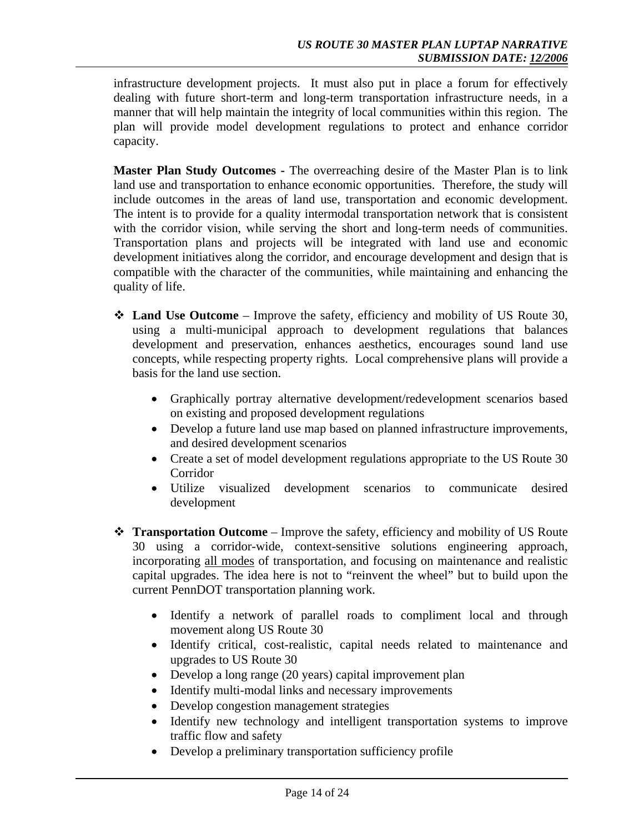infrastructure development projects. It must also put in place a forum for effectively dealing with future short-term and long-term transportation infrastructure needs, in a manner that will help maintain the integrity of local communities within this region. The plan will provide model development regulations to protect and enhance corridor capacity.

**Master Plan Study Outcomes -** The overreaching desire of the Master Plan is to link land use and transportation to enhance economic opportunities. Therefore, the study will include outcomes in the areas of land use, transportation and economic development. The intent is to provide for a quality intermodal transportation network that is consistent with the corridor vision, while serving the short and long-term needs of communities. Transportation plans and projects will be integrated with land use and economic development initiatives along the corridor, and encourage development and design that is compatible with the character of the communities, while maintaining and enhancing the quality of life.

- **Land Use Outcome** Improve the safety, efficiency and mobility of US Route 30, using a multi-municipal approach to development regulations that balances development and preservation, enhances aesthetics, encourages sound land use concepts, while respecting property rights. Local comprehensive plans will provide a basis for the land use section.
	- Graphically portray alternative development/redevelopment scenarios based on existing and proposed development regulations
	- Develop a future land use map based on planned infrastructure improvements, and desired development scenarios
	- Create a set of model development regulations appropriate to the US Route 30 Corridor
	- Utilize visualized development scenarios to communicate desired development
- **Transportation Outcome**  Improve the safety, efficiency and mobility of US Route 30 using a corridor-wide, context-sensitive solutions engineering approach, incorporating all modes of transportation, and focusing on maintenance and realistic capital upgrades. The idea here is not to "reinvent the wheel" but to build upon the current PennDOT transportation planning work.
	- Identify a network of parallel roads to compliment local and through movement along US Route 30
	- Identify critical, cost-realistic, capital needs related to maintenance and upgrades to US Route 30
	- Develop a long range (20 years) capital improvement plan
	- Identify multi-modal links and necessary improvements
	- Develop congestion management strategies
	- Identify new technology and intelligent transportation systems to improve traffic flow and safety
	- Develop a preliminary transportation sufficiency profile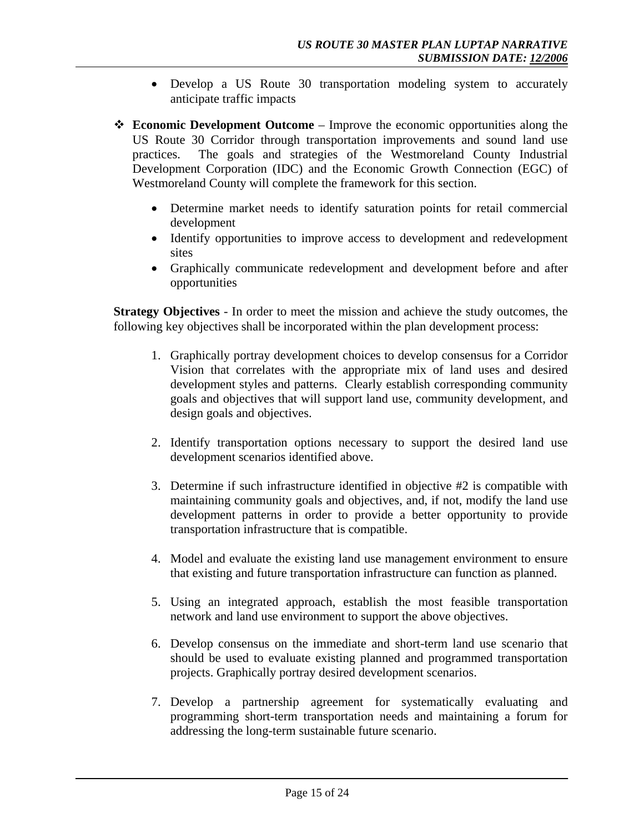- Develop a US Route 30 transportation modeling system to accurately anticipate traffic impacts
- **Economic Development Outcome** Improve the economic opportunities along the US Route 30 Corridor through transportation improvements and sound land use practices. The goals and strategies of the Westmoreland County Industrial Development Corporation (IDC) and the Economic Growth Connection (EGC) of Westmoreland County will complete the framework for this section.
	- Determine market needs to identify saturation points for retail commercial development
	- Identify opportunities to improve access to development and redevelopment sites
	- Graphically communicate redevelopment and development before and after opportunities

**Strategy Objectives** - In order to meet the mission and achieve the study outcomes, the following key objectives shall be incorporated within the plan development process:

- 1. Graphically portray development choices to develop consensus for a Corridor Vision that correlates with the appropriate mix of land uses and desired development styles and patterns. Clearly establish corresponding community goals and objectives that will support land use, community development, and design goals and objectives.
- 2. Identify transportation options necessary to support the desired land use development scenarios identified above.
- 3. Determine if such infrastructure identified in objective #2 is compatible with maintaining community goals and objectives, and, if not, modify the land use development patterns in order to provide a better opportunity to provide transportation infrastructure that is compatible.
- 4. Model and evaluate the existing land use management environment to ensure that existing and future transportation infrastructure can function as planned.
- 5. Using an integrated approach, establish the most feasible transportation network and land use environment to support the above objectives.
- 6. Develop consensus on the immediate and short-term land use scenario that should be used to evaluate existing planned and programmed transportation projects. Graphically portray desired development scenarios.
- 7. Develop a partnership agreement for systematically evaluating and programming short-term transportation needs and maintaining a forum for addressing the long-term sustainable future scenario.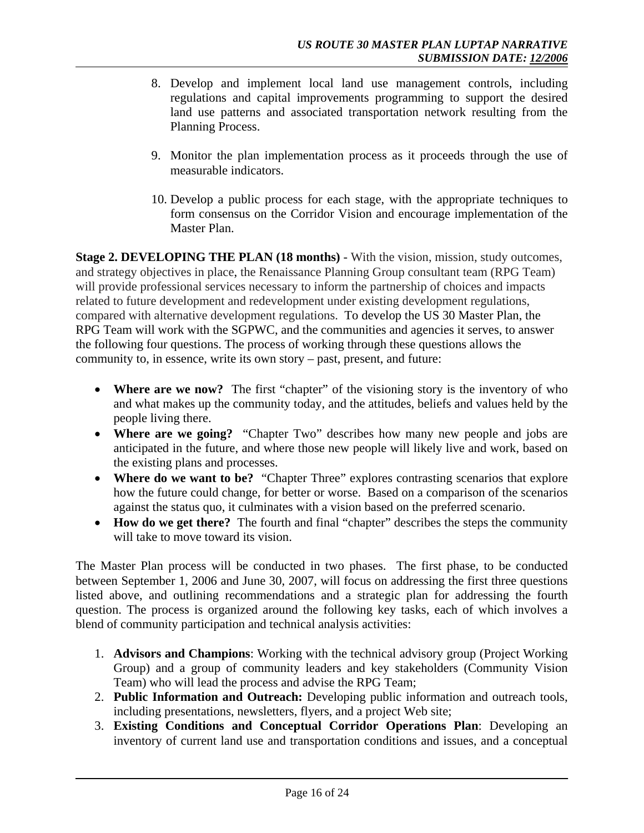- 8. Develop and implement local land use management controls, including regulations and capital improvements programming to support the desired land use patterns and associated transportation network resulting from the Planning Process.
- 9. Monitor the plan implementation process as it proceeds through the use of measurable indicators.
- 10. Develop a public process for each stage, with the appropriate techniques to form consensus on the Corridor Vision and encourage implementation of the Master Plan.

**Stage 2. DEVELOPING THE PLAN (18 months)** - With the vision, mission, study outcomes, and strategy objectives in place, the Renaissance Planning Group consultant team (RPG Team) will provide professional services necessary to inform the partnership of choices and impacts related to future development and redevelopment under existing development regulations, compared with alternative development regulations. To develop the US 30 Master Plan, the RPG Team will work with the SGPWC, and the communities and agencies it serves, to answer the following four questions. The process of working through these questions allows the community to, in essence, write its own story – past, present, and future:

- **Where are we now?** The first "chapter" of the visioning story is the inventory of who and what makes up the community today, and the attitudes, beliefs and values held by the people living there.
- **Where are we going?** "Chapter Two" describes how many new people and jobs are anticipated in the future, and where those new people will likely live and work, based on the existing plans and processes.
- **Where do we want to be?** "Chapter Three" explores contrasting scenarios that explore how the future could change, for better or worse. Based on a comparison of the scenarios against the status quo, it culminates with a vision based on the preferred scenario.
- **How do we get there?** The fourth and final "chapter" describes the steps the community will take to move toward its vision.

The Master Plan process will be conducted in two phases. The first phase, to be conducted between September 1, 2006 and June 30, 2007, will focus on addressing the first three questions listed above, and outlining recommendations and a strategic plan for addressing the fourth question. The process is organized around the following key tasks, each of which involves a blend of community participation and technical analysis activities:

- 1. **Advisors and Champions**: Working with the technical advisory group (Project Working Group) and a group of community leaders and key stakeholders (Community Vision Team) who will lead the process and advise the RPG Team;
- 2. **Public Information and Outreach:** Developing public information and outreach tools, including presentations, newsletters, flyers, and a project Web site;
- 3. **Existing Conditions and Conceptual Corridor Operations Plan**: Developing an inventory of current land use and transportation conditions and issues, and a conceptual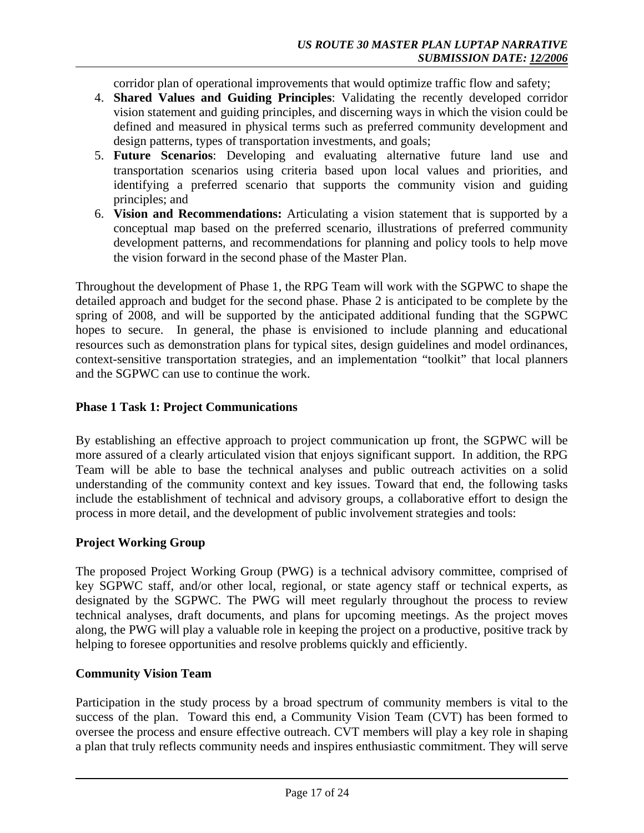corridor plan of operational improvements that would optimize traffic flow and safety;

- 4. **Shared Values and Guiding Principles**: Validating the recently developed corridor vision statement and guiding principles, and discerning ways in which the vision could be defined and measured in physical terms such as preferred community development and design patterns, types of transportation investments, and goals;
- 5. **Future Scenarios**: Developing and evaluating alternative future land use and transportation scenarios using criteria based upon local values and priorities, and identifying a preferred scenario that supports the community vision and guiding principles; and
- 6. **Vision and Recommendations:** Articulating a vision statement that is supported by a conceptual map based on the preferred scenario, illustrations of preferred community development patterns, and recommendations for planning and policy tools to help move the vision forward in the second phase of the Master Plan.

Throughout the development of Phase 1, the RPG Team will work with the SGPWC to shape the detailed approach and budget for the second phase. Phase 2 is anticipated to be complete by the spring of 2008, and will be supported by the anticipated additional funding that the SGPWC hopes to secure. In general, the phase is envisioned to include planning and educational resources such as demonstration plans for typical sites, design guidelines and model ordinances, context-sensitive transportation strategies, and an implementation "toolkit" that local planners and the SGPWC can use to continue the work.

## **Phase 1 Task 1: Project Communications**

By establishing an effective approach to project communication up front, the SGPWC will be more assured of a clearly articulated vision that enjoys significant support. In addition, the RPG Team will be able to base the technical analyses and public outreach activities on a solid understanding of the community context and key issues. Toward that end, the following tasks include the establishment of technical and advisory groups, a collaborative effort to design the process in more detail, and the development of public involvement strategies and tools:

## **Project Working Group**

The proposed Project Working Group (PWG) is a technical advisory committee, comprised of key SGPWC staff, and/or other local, regional, or state agency staff or technical experts, as designated by the SGPWC. The PWG will meet regularly throughout the process to review technical analyses, draft documents, and plans for upcoming meetings. As the project moves along, the PWG will play a valuable role in keeping the project on a productive, positive track by helping to foresee opportunities and resolve problems quickly and efficiently.

## **Community Vision Team**

Participation in the study process by a broad spectrum of community members is vital to the success of the plan. Toward this end, a Community Vision Team (CVT) has been formed to oversee the process and ensure effective outreach. CVT members will play a key role in shaping a plan that truly reflects community needs and inspires enthusiastic commitment. They will serve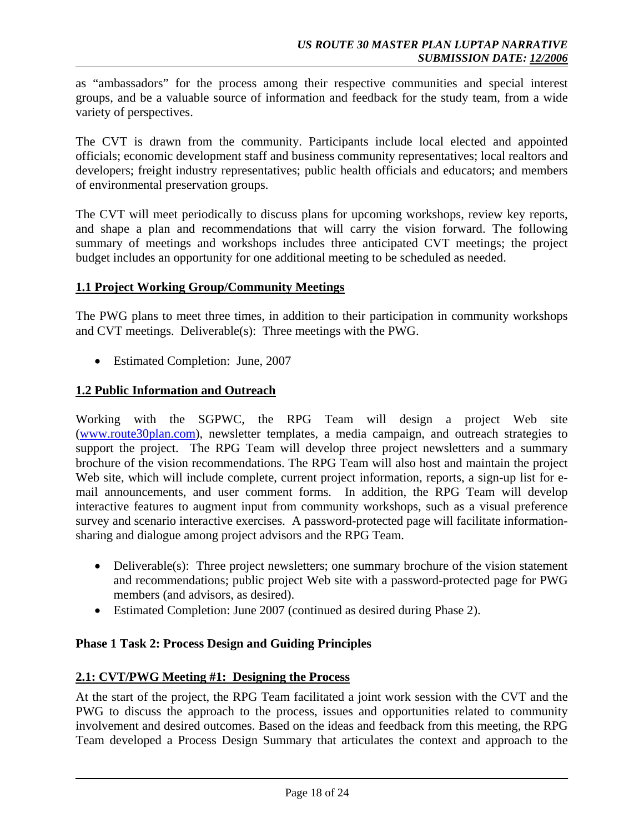as "ambassadors" for the process among their respective communities and special interest groups, and be a valuable source of information and feedback for the study team, from a wide variety of perspectives.

The CVT is drawn from the community. Participants include local elected and appointed officials; economic development staff and business community representatives; local realtors and developers; freight industry representatives; public health officials and educators; and members of environmental preservation groups.

The CVT will meet periodically to discuss plans for upcoming workshops, review key reports, and shape a plan and recommendations that will carry the vision forward. The following summary of meetings and workshops includes three anticipated CVT meetings; the project budget includes an opportunity for one additional meeting to be scheduled as needed.

## **1.1 Project Working Group/Community Meetings**

The PWG plans to meet three times, in addition to their participation in community workshops and CVT meetings. Deliverable(s): Three meetings with the PWG.

• Estimated Completion: June, 2007

## **1.2 Public Information and Outreach**

Working with the SGPWC, the RPG Team will design a project Web site (www.route30plan.com), newsletter templates, a media campaign, and outreach strategies to support the project. The RPG Team will develop three project newsletters and a summary brochure of the vision recommendations. The RPG Team will also host and maintain the project Web site, which will include complete, current project information, reports, a sign-up list for email announcements, and user comment forms. In addition, the RPG Team will develop interactive features to augment input from community workshops, such as a visual preference survey and scenario interactive exercises. A password-protected page will facilitate informationsharing and dialogue among project advisors and the RPG Team.

- Deliverable(s): Three project newsletters; one summary brochure of the vision statement and recommendations; public project Web site with a password-protected page for PWG members (and advisors, as desired).
- Estimated Completion: June 2007 (continued as desired during Phase 2).

## **Phase 1 Task 2: Process Design and Guiding Principles**

## **2.1: CVT/PWG Meeting #1: Designing the Process**

At the start of the project, the RPG Team facilitated a joint work session with the CVT and the PWG to discuss the approach to the process, issues and opportunities related to community involvement and desired outcomes. Based on the ideas and feedback from this meeting, the RPG Team developed a Process Design Summary that articulates the context and approach to the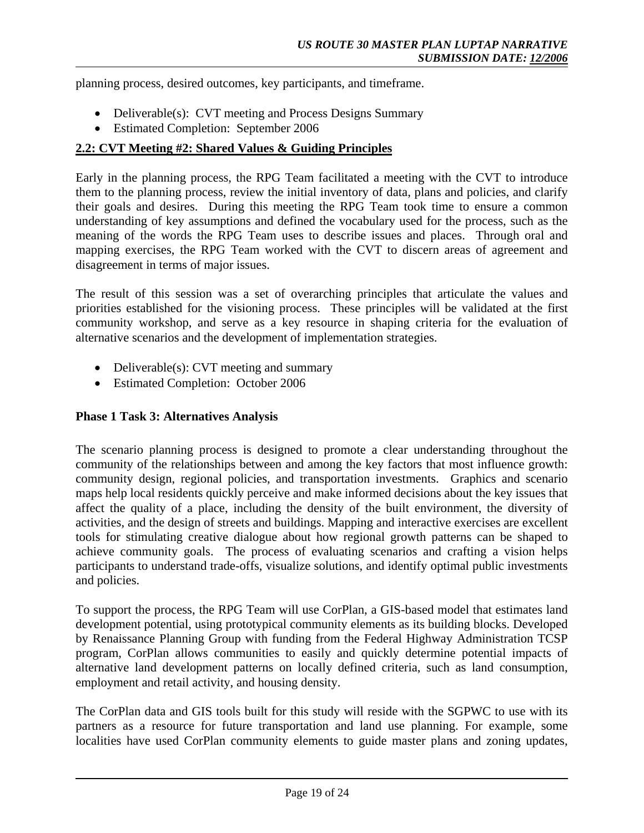planning process, desired outcomes, key participants, and timeframe.

- Deliverable(s): CVT meeting and Process Designs Summary
- Estimated Completion: September 2006

## **2.2: CVT Meeting #2: Shared Values & Guiding Principles**

Early in the planning process, the RPG Team facilitated a meeting with the CVT to introduce them to the planning process, review the initial inventory of data, plans and policies, and clarify their goals and desires. During this meeting the RPG Team took time to ensure a common understanding of key assumptions and defined the vocabulary used for the process, such as the meaning of the words the RPG Team uses to describe issues and places. Through oral and mapping exercises, the RPG Team worked with the CVT to discern areas of agreement and disagreement in terms of major issues.

The result of this session was a set of overarching principles that articulate the values and priorities established for the visioning process. These principles will be validated at the first community workshop, and serve as a key resource in shaping criteria for the evaluation of alternative scenarios and the development of implementation strategies.

- Deliverable(s): CVT meeting and summary
- Estimated Completion: October 2006

## **Phase 1 Task 3: Alternatives Analysis**

The scenario planning process is designed to promote a clear understanding throughout the community of the relationships between and among the key factors that most influence growth: community design, regional policies, and transportation investments. Graphics and scenario maps help local residents quickly perceive and make informed decisions about the key issues that affect the quality of a place, including the density of the built environment, the diversity of activities, and the design of streets and buildings. Mapping and interactive exercises are excellent tools for stimulating creative dialogue about how regional growth patterns can be shaped to achieve community goals. The process of evaluating scenarios and crafting a vision helps participants to understand trade-offs, visualize solutions, and identify optimal public investments and policies.

To support the process, the RPG Team will use CorPlan, a GIS-based model that estimates land development potential, using prototypical community elements as its building blocks. Developed by Renaissance Planning Group with funding from the Federal Highway Administration TCSP program, CorPlan allows communities to easily and quickly determine potential impacts of alternative land development patterns on locally defined criteria, such as land consumption, employment and retail activity, and housing density.

The CorPlan data and GIS tools built for this study will reside with the SGPWC to use with its partners as a resource for future transportation and land use planning. For example, some localities have used CorPlan community elements to guide master plans and zoning updates,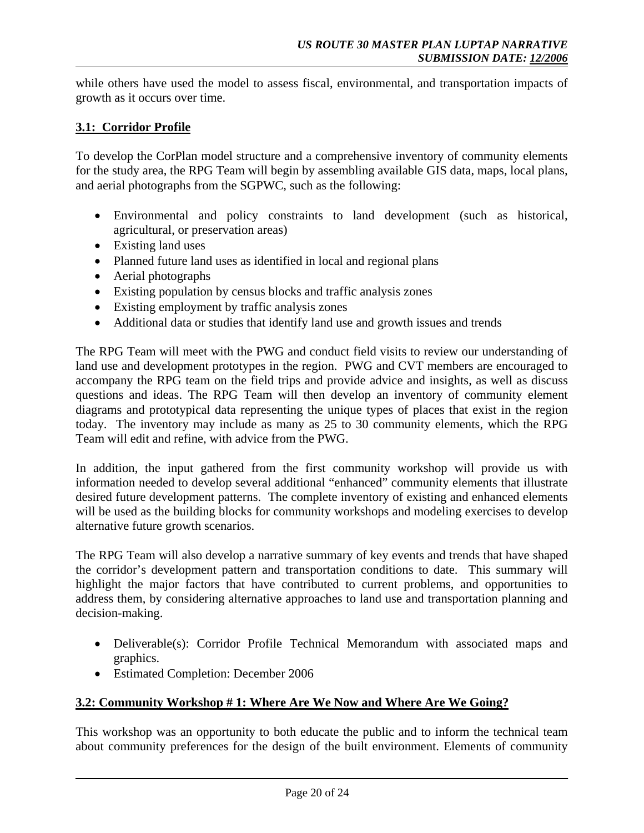while others have used the model to assess fiscal, environmental, and transportation impacts of growth as it occurs over time.

# **3.1: Corridor Profile**

To develop the CorPlan model structure and a comprehensive inventory of community elements for the study area, the RPG Team will begin by assembling available GIS data, maps, local plans, and aerial photographs from the SGPWC, such as the following:

- Environmental and policy constraints to land development (such as historical, agricultural, or preservation areas)
- Existing land uses
- Planned future land uses as identified in local and regional plans
- Aerial photographs
- Existing population by census blocks and traffic analysis zones
- Existing employment by traffic analysis zones
- Additional data or studies that identify land use and growth issues and trends

The RPG Team will meet with the PWG and conduct field visits to review our understanding of land use and development prototypes in the region. PWG and CVT members are encouraged to accompany the RPG team on the field trips and provide advice and insights, as well as discuss questions and ideas. The RPG Team will then develop an inventory of community element diagrams and prototypical data representing the unique types of places that exist in the region today. The inventory may include as many as 25 to 30 community elements, which the RPG Team will edit and refine, with advice from the PWG.

In addition, the input gathered from the first community workshop will provide us with information needed to develop several additional "enhanced" community elements that illustrate desired future development patterns. The complete inventory of existing and enhanced elements will be used as the building blocks for community workshops and modeling exercises to develop alternative future growth scenarios.

The RPG Team will also develop a narrative summary of key events and trends that have shaped the corridor's development pattern and transportation conditions to date. This summary will highlight the major factors that have contributed to current problems, and opportunities to address them, by considering alternative approaches to land use and transportation planning and decision-making.

- Deliverable(s): Corridor Profile Technical Memorandum with associated maps and graphics.
- Estimated Completion: December 2006

## **3.2: Community Workshop # 1: Where Are We Now and Where Are We Going?**

This workshop was an opportunity to both educate the public and to inform the technical team about community preferences for the design of the built environment. Elements of community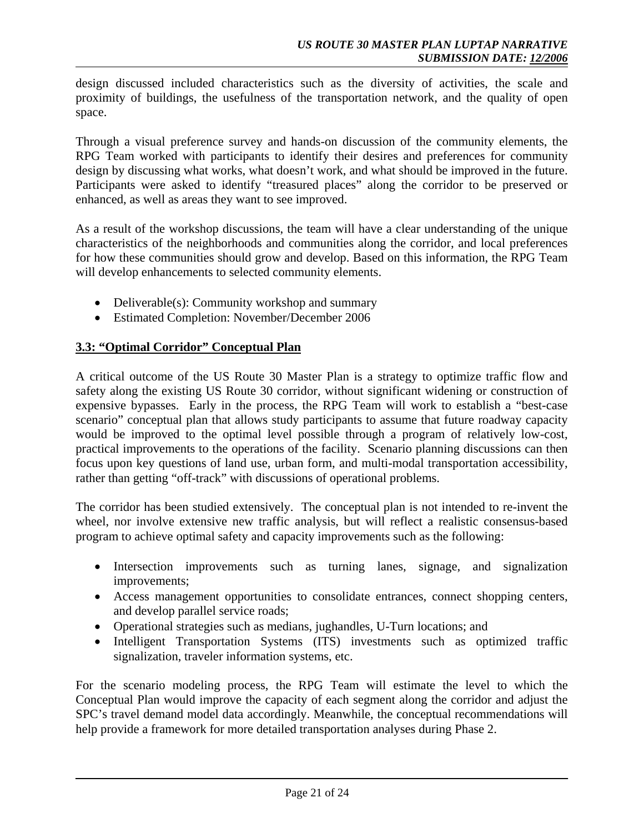design discussed included characteristics such as the diversity of activities, the scale and proximity of buildings, the usefulness of the transportation network, and the quality of open space.

Through a visual preference survey and hands-on discussion of the community elements, the RPG Team worked with participants to identify their desires and preferences for community design by discussing what works, what doesn't work, and what should be improved in the future. Participants were asked to identify "treasured places" along the corridor to be preserved or enhanced, as well as areas they want to see improved.

As a result of the workshop discussions, the team will have a clear understanding of the unique characteristics of the neighborhoods and communities along the corridor, and local preferences for how these communities should grow and develop. Based on this information, the RPG Team will develop enhancements to selected community elements.

- Deliverable(s): Community workshop and summary
- Estimated Completion: November/December 2006

## **3.3: "Optimal Corridor" Conceptual Plan**

A critical outcome of the US Route 30 Master Plan is a strategy to optimize traffic flow and safety along the existing US Route 30 corridor, without significant widening or construction of expensive bypasses. Early in the process, the RPG Team will work to establish a "best-case scenario" conceptual plan that allows study participants to assume that future roadway capacity would be improved to the optimal level possible through a program of relatively low-cost, practical improvements to the operations of the facility. Scenario planning discussions can then focus upon key questions of land use, urban form, and multi-modal transportation accessibility, rather than getting "off-track" with discussions of operational problems.

The corridor has been studied extensively. The conceptual plan is not intended to re-invent the wheel, nor involve extensive new traffic analysis, but will reflect a realistic consensus-based program to achieve optimal safety and capacity improvements such as the following:

- Intersection improvements such as turning lanes, signage, and signalization improvements;
- Access management opportunities to consolidate entrances, connect shopping centers, and develop parallel service roads;
- Operational strategies such as medians, jughandles, U-Turn locations; and
- Intelligent Transportation Systems (ITS) investments such as optimized traffic signalization, traveler information systems, etc.

For the scenario modeling process, the RPG Team will estimate the level to which the Conceptual Plan would improve the capacity of each segment along the corridor and adjust the SPC's travel demand model data accordingly. Meanwhile, the conceptual recommendations will help provide a framework for more detailed transportation analyses during Phase 2.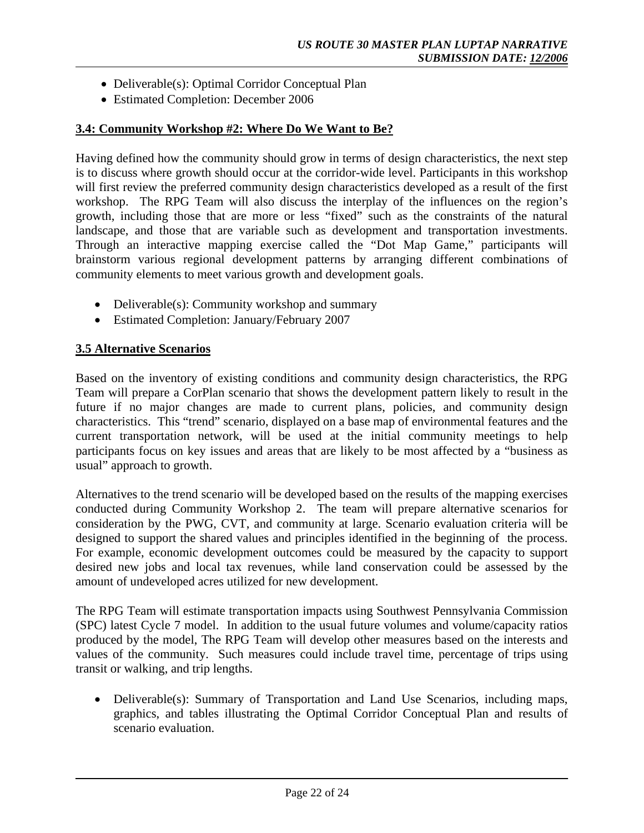- Deliverable(s): Optimal Corridor Conceptual Plan
- Estimated Completion: December 2006

#### **3.4: Community Workshop #2: Where Do We Want to Be?**

Having defined how the community should grow in terms of design characteristics, the next step is to discuss where growth should occur at the corridor-wide level. Participants in this workshop will first review the preferred community design characteristics developed as a result of the first workshop. The RPG Team will also discuss the interplay of the influences on the region's growth, including those that are more or less "fixed" such as the constraints of the natural landscape, and those that are variable such as development and transportation investments. Through an interactive mapping exercise called the "Dot Map Game," participants will brainstorm various regional development patterns by arranging different combinations of community elements to meet various growth and development goals.

- Deliverable(s): Community workshop and summary
- Estimated Completion: January/February 2007

## **3.5 Alternative Scenarios**

Based on the inventory of existing conditions and community design characteristics, the RPG Team will prepare a CorPlan scenario that shows the development pattern likely to result in the future if no major changes are made to current plans, policies, and community design characteristics. This "trend" scenario, displayed on a base map of environmental features and the current transportation network, will be used at the initial community meetings to help participants focus on key issues and areas that are likely to be most affected by a "business as usual" approach to growth.

Alternatives to the trend scenario will be developed based on the results of the mapping exercises conducted during Community Workshop 2. The team will prepare alternative scenarios for consideration by the PWG, CVT, and community at large. Scenario evaluation criteria will be designed to support the shared values and principles identified in the beginning of the process. For example, economic development outcomes could be measured by the capacity to support desired new jobs and local tax revenues, while land conservation could be assessed by the amount of undeveloped acres utilized for new development.

The RPG Team will estimate transportation impacts using Southwest Pennsylvania Commission (SPC) latest Cycle 7 model. In addition to the usual future volumes and volume/capacity ratios produced by the model, The RPG Team will develop other measures based on the interests and values of the community. Such measures could include travel time, percentage of trips using transit or walking, and trip lengths.

• Deliverable(s): Summary of Transportation and Land Use Scenarios, including maps, graphics, and tables illustrating the Optimal Corridor Conceptual Plan and results of scenario evaluation.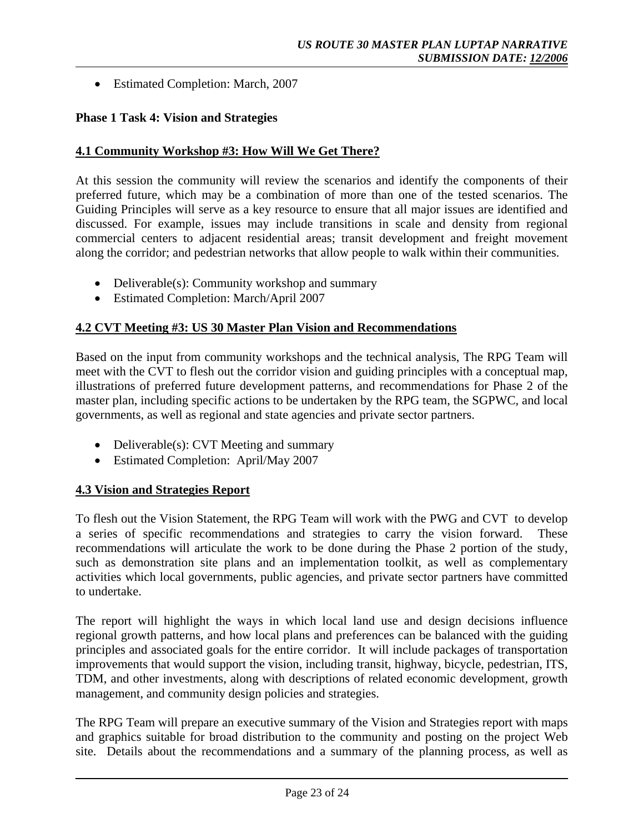• Estimated Completion: March, 2007

## **Phase 1 Task 4: Vision and Strategies**

#### **4.1 Community Workshop #3: How Will We Get There?**

At this session the community will review the scenarios and identify the components of their preferred future, which may be a combination of more than one of the tested scenarios. The Guiding Principles will serve as a key resource to ensure that all major issues are identified and discussed. For example, issues may include transitions in scale and density from regional commercial centers to adjacent residential areas; transit development and freight movement along the corridor; and pedestrian networks that allow people to walk within their communities.

- Deliverable(s): Community workshop and summary
- Estimated Completion: March/April 2007

#### **4.2 CVT Meeting #3: US 30 Master Plan Vision and Recommendations**

Based on the input from community workshops and the technical analysis, The RPG Team will meet with the CVT to flesh out the corridor vision and guiding principles with a conceptual map, illustrations of preferred future development patterns, and recommendations for Phase 2 of the master plan, including specific actions to be undertaken by the RPG team, the SGPWC, and local governments, as well as regional and state agencies and private sector partners.

- Deliverable(s): CVT Meeting and summary
- Estimated Completion: April/May 2007

## **4.3 Vision and Strategies Report**

To flesh out the Vision Statement, the RPG Team will work with the PWG and CVT to develop a series of specific recommendations and strategies to carry the vision forward. These recommendations will articulate the work to be done during the Phase 2 portion of the study, such as demonstration site plans and an implementation toolkit, as well as complementary activities which local governments, public agencies, and private sector partners have committed to undertake.

The report will highlight the ways in which local land use and design decisions influence regional growth patterns, and how local plans and preferences can be balanced with the guiding principles and associated goals for the entire corridor. It will include packages of transportation improvements that would support the vision, including transit, highway, bicycle, pedestrian, ITS, TDM, and other investments, along with descriptions of related economic development, growth management, and community design policies and strategies.

The RPG Team will prepare an executive summary of the Vision and Strategies report with maps and graphics suitable for broad distribution to the community and posting on the project Web site. Details about the recommendations and a summary of the planning process, as well as